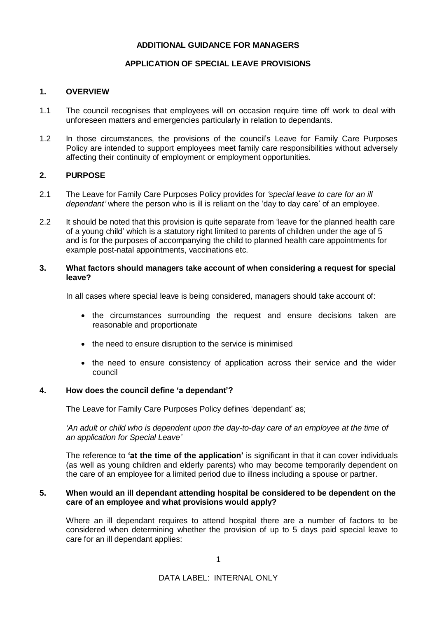# **ADDITIONAL GUIDANCE FOR MANAGERS**

# **APPLICATION OF SPECIAL LEAVE PROVISIONS**

# **1. OVERVIEW**

- 1.1 The council recognises that employees will on occasion require time off work to deal with unforeseen matters and emergencies particularly in relation to dependants.
- 1.2 In those circumstances, the provisions of the council's Leave for Family Care Purposes Policy are intended to support employees meet family care responsibilities without adversely affecting their continuity of employment or employment opportunities.

# **2. PURPOSE**

- 2.1 The Leave for Family Care Purposes Policy provides for *'special leave to care for an ill dependant'* where the person who is ill is reliant on the 'day to day care' of an employee.
- 2.2 It should be noted that this provision is quite separate from 'leave for the planned health care of a young child' which is a statutory right limited to parents of children under the age of 5 and is for the purposes of accompanying the child to planned health care appointments for example post-natal appointments, vaccinations etc.

## **3. What factors should managers take account of when considering a request for special leave?**

In all cases where special leave is being considered, managers should take account of:

- the circumstances surrounding the request and ensure decisions taken are reasonable and proportionate
- the need to ensure disruption to the service is minimised
- the need to ensure consistency of application across their service and the wider council

## **4. How does the council define 'a dependant'?**

The Leave for Family Care Purposes Policy defines 'dependant' as;

### *'An adult or child who is dependent upon the day-to-day care of an employee at the time of an application for Special Leave'*

The reference to **'at the time of the application'** is significant in that it can cover individuals (as well as young children and elderly parents) who may become temporarily dependent on the care of an employee for a limited period due to illness including a spouse or partner.

#### **5. When would an ill dependant attending hospital be considered to be dependent on the care of an employee and what provisions would apply?**

Where an ill dependant requires to attend hospital there are a number of factors to be considered when determining whether the provision of up to 5 days paid special leave to care for an ill dependant applies: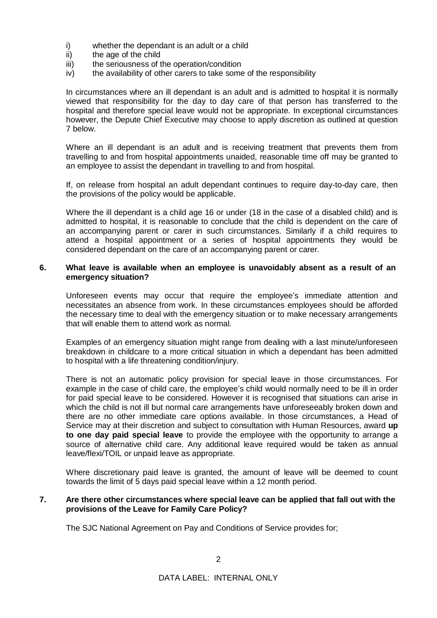- i) whether the dependant is an adult or a child  $\overline{ii}$  the age of the child
- the age of the child
- iii) the seriousness of the operation/condition
- iv) the availability of other carers to take some of the responsibility

In circumstances where an ill dependant is an adult and is admitted to hospital it is normally viewed that responsibility for the day to day care of that person has transferred to the hospital and therefore special leave would not be appropriate. In exceptional circumstances however, the Depute Chief Executive may choose to apply discretion as outlined at question 7 below.

Where an ill dependant is an adult and is receiving treatment that prevents them from travelling to and from hospital appointments unaided, reasonable time off may be granted to an employee to assist the dependant in travelling to and from hospital.

If, on release from hospital an adult dependant continues to require day-to-day care, then the provisions of the policy would be applicable.

Where the ill dependant is a child age 16 or under (18 in the case of a disabled child) and is admitted to hospital, it is reasonable to conclude that the child is dependent on the care of an accompanying parent or carer in such circumstances. Similarly if a child requires to attend a hospital appointment or a series of hospital appointments they would be considered dependant on the care of an accompanying parent or carer.

#### **6. What leave is available when an employee is unavoidably absent as a result of an emergency situation?**

Unforeseen events may occur that require the employee's immediate attention and necessitates an absence from work. In these circumstances employees should be afforded the necessary time to deal with the emergency situation or to make necessary arrangements that will enable them to attend work as normal.

Examples of an emergency situation might range from dealing with a last minute/unforeseen breakdown in childcare to a more critical situation in which a dependant has been admitted to hospital with a life threatening condition/injury.

There is not an automatic policy provision for special leave in those circumstances. For example in the case of child care, the employee's child would normally need to be ill in order for paid special leave to be considered. However it is recognised that situations can arise in which the child is not ill but normal care arrangements have unforeseeably broken down and there are no other immediate care options available. In those circumstances, a Head of Service may at their discretion and subject to consultation with Human Resources, award **up to one day paid special leave** to provide the employee with the opportunity to arrange a source of alternative child care. Any additional leave required would be taken as annual leave/flexi/TOIL or unpaid leave as appropriate.

Where discretionary paid leave is granted, the amount of leave will be deemed to count towards the limit of 5 days paid special leave within a 12 month period.

# **7. Are there other circumstances where special leave can be applied that fall out with the provisions of the Leave for Family Care Policy?**

The SJC National Agreement on Pay and Conditions of Service provides for;